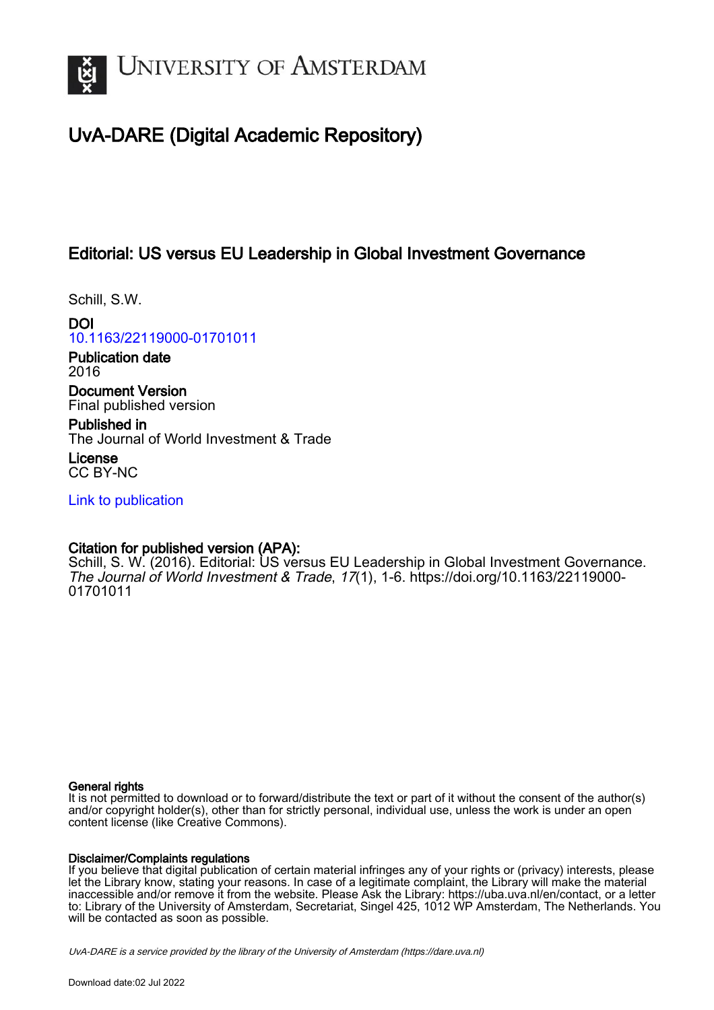

# UvA-DARE (Digital Academic Repository)

## Editorial: US versus EU Leadership in Global Investment Governance

Schill, S.W.

DOI [10.1163/22119000-01701011](https://doi.org/10.1163/22119000-01701011)

Publication date 2016

Document Version Final published version

Published in The Journal of World Investment & Trade

License CC BY-NC

[Link to publication](https://dare.uva.nl/personal/pure/en/publications/editorial-us-versus-eu-leadership-in-global-investment-governance(ba1ca79c-7e5b-4842-adb7-a36e02d78d4e).html)

## Citation for published version (APA):

Schill, S. W. (2016). Editorial: US versus EU Leadership in Global Investment Governance. The Journal of World Investment & Trade, 17(1), 1-6. [https://doi.org/10.1163/22119000-](https://doi.org/10.1163/22119000-01701011) [01701011](https://doi.org/10.1163/22119000-01701011)

### General rights

It is not permitted to download or to forward/distribute the text or part of it without the consent of the author(s) and/or copyright holder(s), other than for strictly personal, individual use, unless the work is under an open content license (like Creative Commons).

### Disclaimer/Complaints regulations

If you believe that digital publication of certain material infringes any of your rights or (privacy) interests, please let the Library know, stating your reasons. In case of a legitimate complaint, the Library will make the material inaccessible and/or remove it from the website. Please Ask the Library: https://uba.uva.nl/en/contact, or a letter to: Library of the University of Amsterdam, Secretariat, Singel 425, 1012 WP Amsterdam, The Netherlands. You will be contacted as soon as possible.

UvA-DARE is a service provided by the library of the University of Amsterdam (http*s*://dare.uva.nl)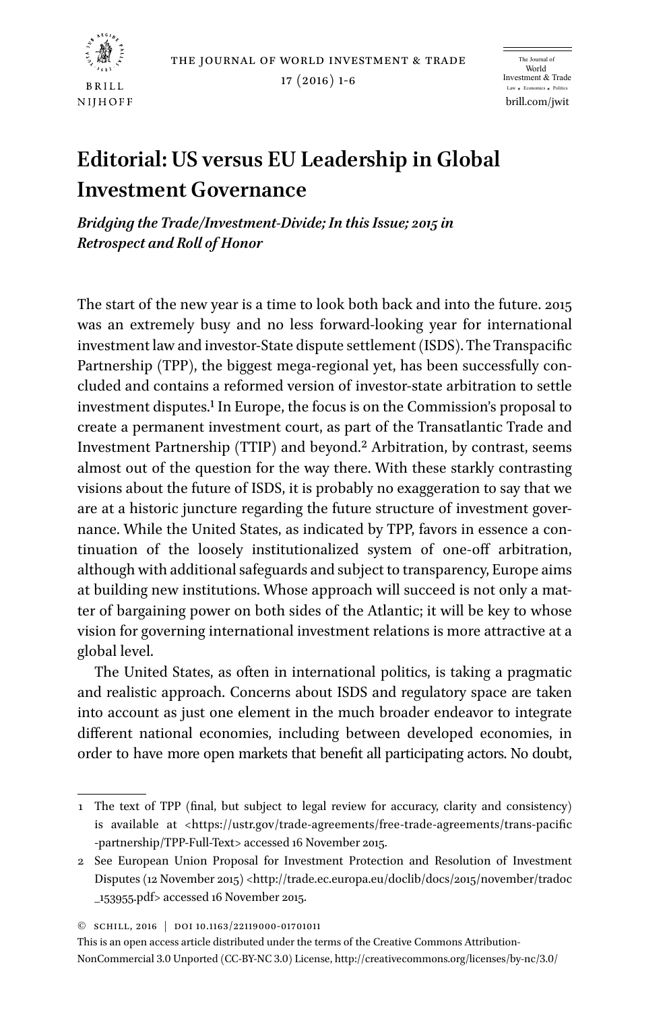

the journal of world investment & trade

17 (2016) 1-6

brill.com/jwit The Journal of World Investment & Trade Law \* Economics \* Politics

# **Editorial: US versus EU Leadership in Global Investment Governance**

*Bridging the Trade/Investment-Divide; In this Issue; 2015 in Retrospect and Roll of Honor*

The start of the new year is a time to look both back and into the future. 2015 was an extremely busy and no less forward-looking year for international investment law and investor-State dispute settlement (ISDS). The Transpacific Partnership (TPP), the biggest mega-regional yet, has been successfully concluded and contains a reformed version of investor-state arbitration to settle investment disputes.1 In Europe, the focus is on the Commission's proposal to create a permanent investment court, as part of the Transatlantic Trade and Investment Partnership (TTIP) and beyond.2 Arbitration, by contrast, seems almost out of the question for the way there. With these starkly contrasting visions about the future of ISDS, it is probably no exaggeration to say that we are at a historic juncture regarding the future structure of investment governance. While the United States, as indicated by TPP, favors in essence a continuation of the loosely institutionalized system of one-off arbitration, although with additional safeguards and subject to transparency, Europe aims at building new institutions. Whose approach will succeed is not only a matter of bargaining power on both sides of the Atlantic; it will be key to whose vision for governing international investment relations is more attractive at a global level.

The United States, as often in international politics, is taking a pragmatic and realistic approach. Concerns about ISDS and regulatory space are taken into account as just one element in the much broader endeavor to integrate different national economies, including between developed economies, in order to have more open markets that benefit all participating actors. No doubt,

This is an open access article distributed under the terms of the Creative Commons Attribution-NonCommercial 3.0 Unported (CC-BY-NC 3.0) License,<http://creativecommons.org/licenses/by-nc/3.0/>

<sup>1</sup> The text of TPP (final, but subject to legal review for accuracy, clarity and consistency) is available at [<https://ustr.gov/trade-agreements/free-trade-agreements/trans-pacific](https://ustr.gov/trade-agreements/free-trade-agreements/trans-pacific-partnership/TPP-Full-Text) [-partnership/TPP-Full-Text>](https://ustr.gov/trade-agreements/free-trade-agreements/trans-pacific-partnership/TPP-Full-Text) accessed 16 November 2015.

<sup>2</sup> See European Union Proposal for Investment Protection and Resolution of Investment Disputes (12 November 2015) <[http://trade.ec.europa.eu/doclib/docs/2015/november/tradoc](http://trade.ec.europa.eu/doclib/docs/2015/november/tradoc_153955.pdf) [\\_153955.pdf](http://trade.ec.europa.eu/doclib/docs/2015/november/tradoc_153955.pdf)> accessed 16 November 2015.

<sup>©</sup> Schill, 2016 | doi 10.1163/22119000-01701011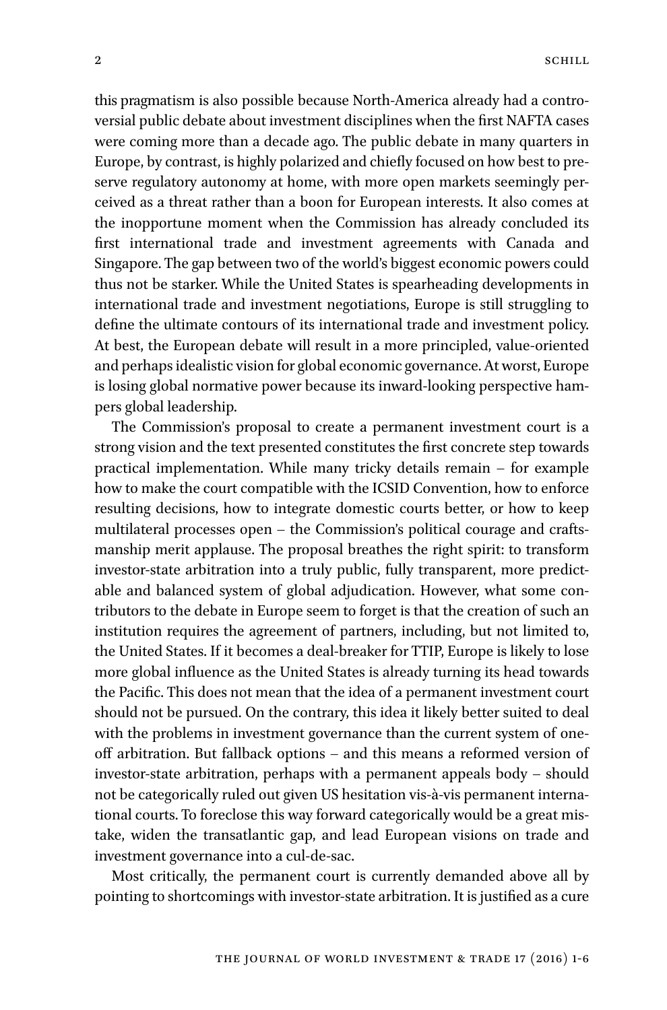this pragmatism is also possible because North-America already had a controversial public debate about investment disciplines when the first NAFTA cases were coming more than a decade ago. The public debate in many quarters in Europe, by contrast, is highly polarized and chiefly focused on how best to preserve regulatory autonomy at home, with more open markets seemingly perceived as a threat rather than a boon for European interests. It also comes at the inopportune moment when the Commission has already concluded its first international trade and investment agreements with Canada and Singapore. The gap between two of the world's biggest economic powers could thus not be starker. While the United States is spearheading developments in international trade and investment negotiations, Europe is still struggling to define the ultimate contours of its international trade and investment policy. At best, the European debate will result in a more principled, value-oriented and perhaps idealistic vision for global economic governance. At worst, Europe is losing global normative power because its inward-looking perspective hampers global leadership.

The Commission's proposal to create a permanent investment court is a strong vision and the text presented constitutes the first concrete step towards practical implementation. While many tricky details remain – for example how to make the court compatible with the ICSID Convention, how to enforce resulting decisions, how to integrate domestic courts better, or how to keep multilateral processes open – the Commission's political courage and craftsmanship merit applause. The proposal breathes the right spirit: to transform investor-state arbitration into a truly public, fully transparent, more predictable and balanced system of global adjudication. However, what some contributors to the debate in Europe seem to forget is that the creation of such an institution requires the agreement of partners, including, but not limited to, the United States. If it becomes a deal-breaker for TTIP, Europe is likely to lose more global influence as the United States is already turning its head towards the Pacific. This does not mean that the idea of a permanent investment court should not be pursued. On the contrary, this idea it likely better suited to deal with the problems in investment governance than the current system of oneoff arbitration. But fallback options – and this means a reformed version of investor-state arbitration, perhaps with a permanent appeals body – should not be categorically ruled out given US hesitation vis-à-vis permanent international courts. To foreclose this way forward categorically would be a great mistake, widen the transatlantic gap, and lead European visions on trade and investment governance into a cul-de-sac.

Most critically, the permanent court is currently demanded above all by pointing to shortcomings with investor-state arbitration. It is justified as a cure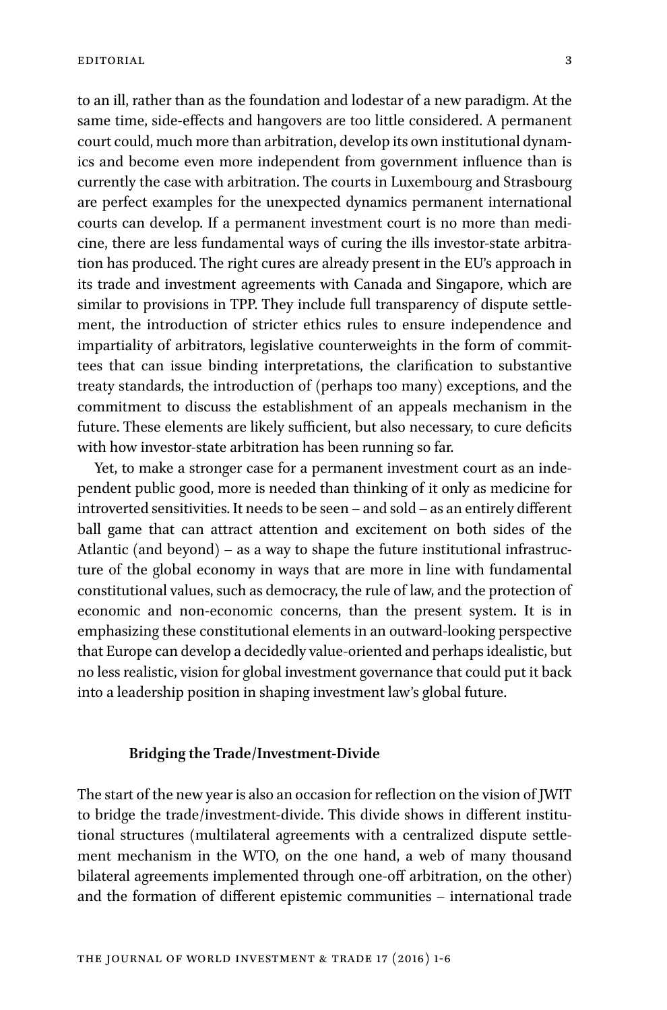to an ill, rather than as the foundation and lodestar of a new paradigm. At the same time, side-effects and hangovers are too little considered. A permanent court could, much more than arbitration, develop its own institutional dynamics and become even more independent from government influence than is currently the case with arbitration. The courts in Luxembourg and Strasbourg are perfect examples for the unexpected dynamics permanent international courts can develop. If a permanent investment court is no more than medicine, there are less fundamental ways of curing the ills investor-state arbitration has produced. The right cures are already present in the EU's approach in its trade and investment agreements with Canada and Singapore, which are similar to provisions in TPP. They include full transparency of dispute settlement, the introduction of stricter ethics rules to ensure independence and impartiality of arbitrators, legislative counterweights in the form of committees that can issue binding interpretations, the clarification to substantive treaty standards, the introduction of (perhaps too many) exceptions, and the commitment to discuss the establishment of an appeals mechanism in the future. These elements are likely sufficient, but also necessary, to cure deficits with how investor-state arbitration has been running so far.

Yet, to make a stronger case for a permanent investment court as an independent public good, more is needed than thinking of it only as medicine for introverted sensitivities. It needs to be seen – and sold – as an entirely different ball game that can attract attention and excitement on both sides of the Atlantic (and beyond) – as a way to shape the future institutional infrastructure of the global economy in ways that are more in line with fundamental constitutional values, such as democracy, the rule of law, and the protection of economic and non-economic concerns, than the present system. It is in emphasizing these constitutional elements in an outward-looking perspective that Europe can develop a decidedly value-oriented and perhaps idealistic, but no less realistic, vision for global investment governance that could put it back into a leadership position in shaping investment law's global future.

#### **Bridging the Trade/Investment-Divide**

The start of the new year is also an occasion for reflection on the vision of JWIT to bridge the trade/investment-divide. This divide shows in different institutional structures (multilateral agreements with a centralized dispute settlement mechanism in the WTO, on the one hand, a web of many thousand bilateral agreements implemented through one-off arbitration, on the other) and the formation of different epistemic communities – international trade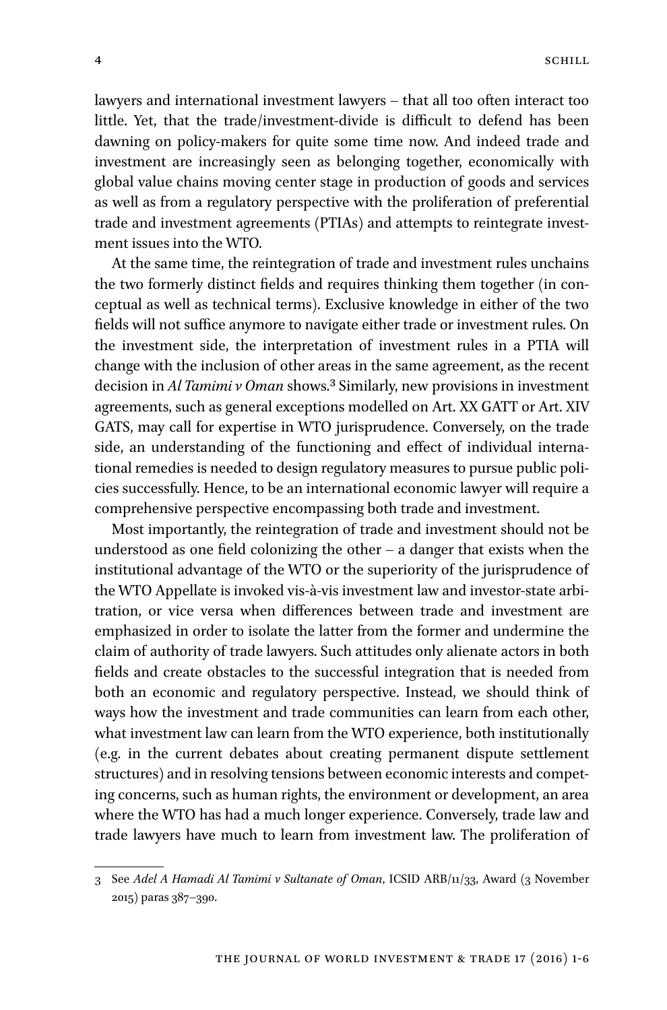lawyers and international investment lawyers – that all too often interact too little. Yet, that the trade/investment-divide is difficult to defend has been dawning on policy-makers for quite some time now. And indeed trade and investment are increasingly seen as belonging together, economically with global value chains moving center stage in production of goods and services as well as from a regulatory perspective with the proliferation of preferential trade and investment agreements (PTIAs) and attempts to reintegrate investment issues into the WTO.

At the same time, the reintegration of trade and investment rules unchains the two formerly distinct fields and requires thinking them together (in conceptual as well as technical terms). Exclusive knowledge in either of the two fields will not suffice anymore to navigate either trade or investment rules. On the investment side, the interpretation of investment rules in a PTIA will change with the inclusion of other areas in the same agreement, as the recent decision in *Al Tamimi v Oman* shows.3 Similarly, new provisions in investment agreements, such as general exceptions modelled on Art. XX GATT or Art. XIV GATS, may call for expertise in WTO jurisprudence. Conversely, on the trade side, an understanding of the functioning and effect of individual international remedies is needed to design regulatory measures to pursue public policies successfully. Hence, to be an international economic lawyer will require a comprehensive perspective encompassing both trade and investment.

Most importantly, the reintegration of trade and investment should not be understood as one field colonizing the other – a danger that exists when the institutional advantage of the WTO or the superiority of the jurisprudence of the WTO Appellate is invoked vis-à-vis investment law and investor-state arbitration, or vice versa when differences between trade and investment are emphasized in order to isolate the latter from the former and undermine the claim of authority of trade lawyers. Such attitudes only alienate actors in both fields and create obstacles to the successful integration that is needed from both an economic and regulatory perspective. Instead, we should think of ways how the investment and trade communities can learn from each other, what investment law can learn from the WTO experience, both institutionally (e.g. in the current debates about creating permanent dispute settlement structures) and in resolving tensions between economic interests and competing concerns, such as human rights, the environment or development, an area where the WTO has had a much longer experience. Conversely, trade law and trade lawyers have much to learn from investment law. The proliferation of

<sup>3</sup> See *Adel A Hamadi Al Tamimi v Sultanate of Oman*, ICSID ARB/11/33, Award (3 November 2015) paras 387–390.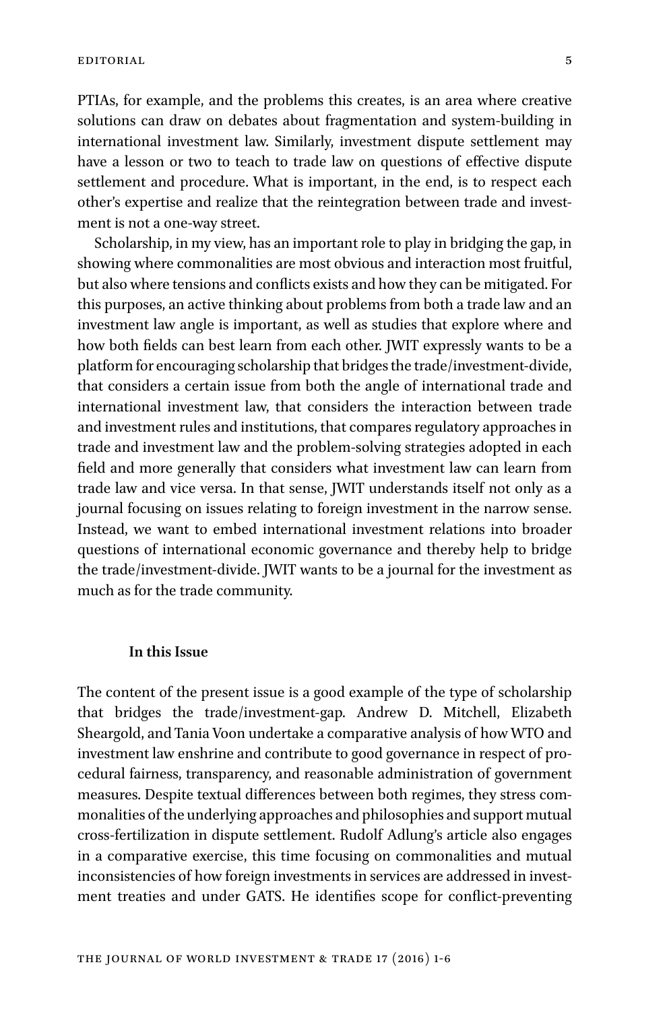PTIAs, for example, and the problems this creates, is an area where creative solutions can draw on debates about fragmentation and system-building in international investment law. Similarly, investment dispute settlement may have a lesson or two to teach to trade law on questions of effective dispute settlement and procedure. What is important, in the end, is to respect each other's expertise and realize that the reintegration between trade and investment is not a one-way street.

Scholarship, in my view, has an important role to play in bridging the gap, in showing where commonalities are most obvious and interaction most fruitful, but also where tensions and conflicts exists and how they can be mitigated. For this purposes, an active thinking about problems from both a trade law and an investment law angle is important, as well as studies that explore where and how both fields can best learn from each other. JWIT expressly wants to be a platform for encouraging scholarship that bridges the trade/investment-divide, that considers a certain issue from both the angle of international trade and international investment law, that considers the interaction between trade and investment rules and institutions, that compares regulatory approaches in trade and investment law and the problem-solving strategies adopted in each field and more generally that considers what investment law can learn from trade law and vice versa. In that sense, JWIT understands itself not only as a journal focusing on issues relating to foreign investment in the narrow sense. Instead, we want to embed international investment relations into broader questions of international economic governance and thereby help to bridge the trade/investment-divide. JWIT wants to be a journal for the investment as much as for the trade community.

#### **In this Issue**

The content of the present issue is a good example of the type of scholarship that bridges the trade/investment-gap. Andrew D. Mitchell, Elizabeth Sheargold, and Tania Voon undertake a comparative analysis of how WTO and investment law enshrine and contribute to good governance in respect of procedural fairness, transparency, and reasonable administration of government measures. Despite textual differences between both regimes, they stress commonalities of the underlying approaches and philosophies and support mutual cross-fertilization in dispute settlement. Rudolf Adlung's article also engages in a comparative exercise, this time focusing on commonalities and mutual inconsistencies of how foreign investments in services are addressed in investment treaties and under GATS. He identifies scope for conflict-preventing